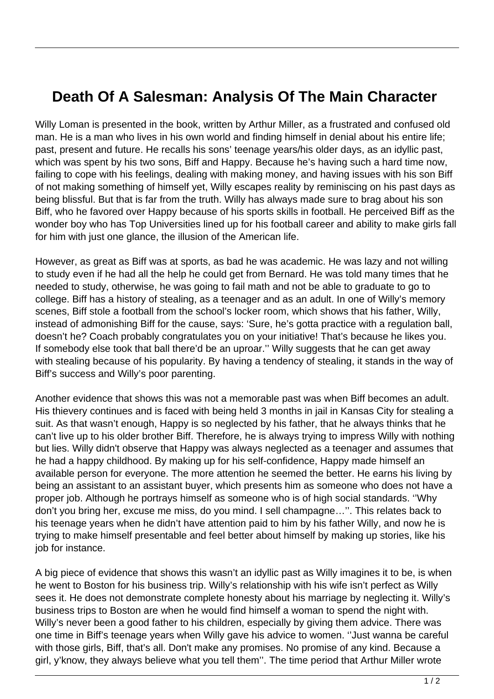## **Death Of A Salesman: Analysis Of The Main Character**

Willy Loman is presented in the book, written by Arthur Miller, as a frustrated and confused old man. He is a man who lives in his own world and finding himself in denial about his entire life; past, present and future. He recalls his sons' teenage years/his older days, as an idyllic past, which was spent by his two sons, Biff and Happy. Because he's having such a hard time now, failing to cope with his feelings, dealing with making money, and having issues with his son Biff of not making something of himself yet, Willy escapes reality by reminiscing on his past days as being blissful. But that is far from the truth. Willy has always made sure to brag about his son Biff, who he favored over Happy because of his sports skills in football. He perceived Biff as the wonder boy who has Top Universities lined up for his football career and ability to make girls fall for him with just one glance, the illusion of the American life.

However, as great as Biff was at sports, as bad he was academic. He was lazy and not willing to study even if he had all the help he could get from Bernard. He was told many times that he needed to study, otherwise, he was going to fail math and not be able to graduate to go to college. Biff has a history of stealing, as a teenager and as an adult. In one of Willy's memory scenes, Biff stole a football from the school's locker room, which shows that his father, Willy, instead of admonishing Biff for the cause, says: 'Sure, he's gotta practice with a regulation ball, doesn't he? Coach probably congratulates you on your initiative! That's because he likes you. If somebody else took that ball there'd be an uproar.'' Willy suggests that he can get away with stealing because of his popularity. By having a tendency of stealing, it stands in the way of Biff's success and Willy's poor parenting.

Another evidence that shows this was not a memorable past was when Biff becomes an adult. His thievery continues and is faced with being held 3 months in jail in Kansas City for stealing a suit. As that wasn't enough, Happy is so neglected by his father, that he always thinks that he can't live up to his older brother Biff. Therefore, he is always trying to impress Willy with nothing but lies. Willy didn't observe that Happy was always neglected as a teenager and assumes that he had a happy childhood. By making up for his self-confidence, Happy made himself an available person for everyone. The more attention he seemed the better. He earns his living by being an assistant to an assistant buyer, which presents him as someone who does not have a proper job. Although he portrays himself as someone who is of high social standards. ''Why don't you bring her, excuse me miss, do you mind. I sell champagne…''. This relates back to his teenage years when he didn't have attention paid to him by his father Willy, and now he is trying to make himself presentable and feel better about himself by making up stories, like his job for instance.

A big piece of evidence that shows this wasn't an idyllic past as Willy imagines it to be, is when he went to Boston for his business trip. Willy's relationship with his wife isn't perfect as Willy sees it. He does not demonstrate complete honesty about his marriage by neglecting it. Willy's business trips to Boston are when he would find himself a woman to spend the night with. Willy's never been a good father to his children, especially by giving them advice. There was one time in Biff's teenage years when Willy gave his advice to women. ''Just wanna be careful with those girls, Biff, that's all. Don't make any promises. No promise of any kind. Because a girl, y'know, they always believe what you tell them''. The time period that Arthur Miller wrote